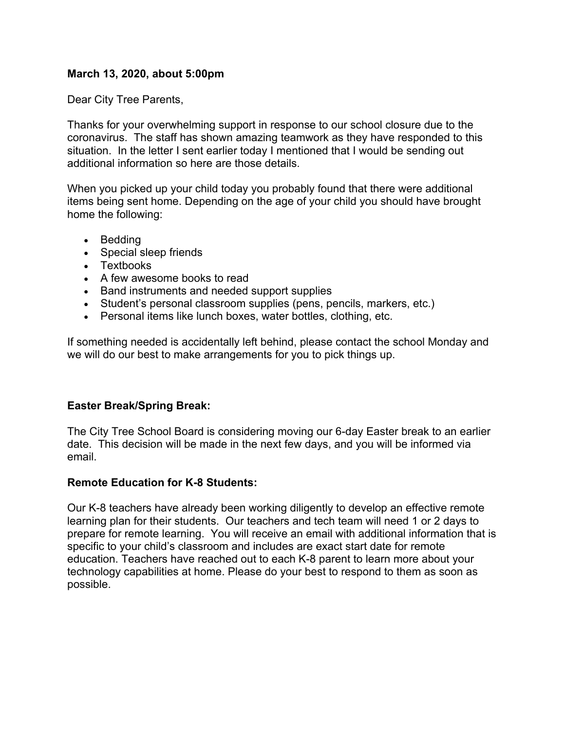## **March 13, 2020, about 5:00pm**

Dear City Tree Parents,

Thanks for your overwhelming support in response to our school closure due to the coronavirus. The staff has shown amazing teamwork as they have responded to this situation. In the letter I sent earlier today I mentioned that I would be sending out additional information so here are those details.

When you picked up your child today you probably found that there were additional items being sent home. Depending on the age of your child you should have brought home the following:

- Bedding
- Special sleep friends
- Textbooks
- A few awesome books to read
- Band instruments and needed support supplies
- Student's personal classroom supplies (pens, pencils, markers, etc.)
- Personal items like lunch boxes, water bottles, clothing, etc.

If something needed is accidentally left behind, please contact the school Monday and we will do our best to make arrangements for you to pick things up.

## **Easter Break/Spring Break:**

The City Tree School Board is considering moving our 6-day Easter break to an earlier date. This decision will be made in the next few days, and you will be informed via email.

## **Remote Education for K-8 Students:**

Our K-8 teachers have already been working diligently to develop an effective remote learning plan for their students. Our teachers and tech team will need 1 or 2 days to prepare for remote learning. You will receive an email with additional information that is specific to your child's classroom and includes are exact start date for remote education. Teachers have reached out to each K-8 parent to learn more about your technology capabilities at home. Please do your best to respond to them as soon as possible.